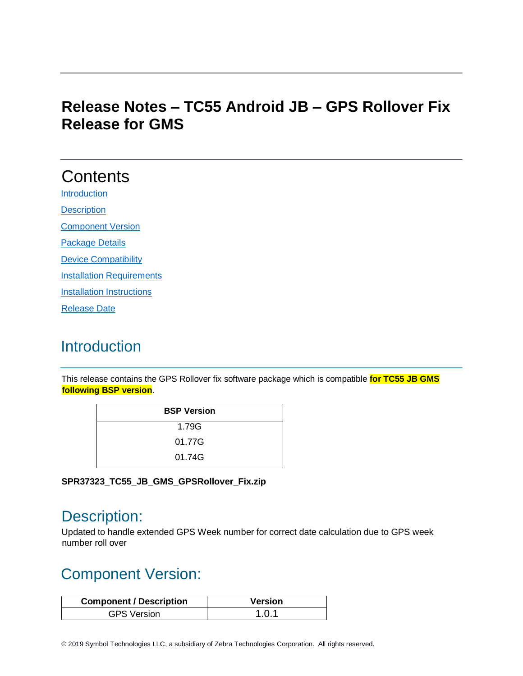### **Release Notes – TC55 Android JB – GPS Rollover Fix Release for GMS**

# **Contents**

[Introduction](#page-0-0) **[Description](#page-0-1)** 

[Component](#page-0-2) Version

[Package Details](#page-1-0)

[Device Compatibility](#page-1-1)

[Installation Requirements](#page-1-2)

**[Installation Instructions](#page-1-3)** 

[Release Date](#page-2-0)

### <span id="page-0-0"></span>**Introduction**

This release contains the GPS Rollover fix software package which is compatible **for TC55 JB GMS following BSP version**.

| <b>BSP Version</b> |
|--------------------|
| 1.79G              |
| 01.77G             |
| 01.74G             |

**SPR37323\_TC55\_JB\_GMS\_GPSRollover\_Fix.zip**

### <span id="page-0-1"></span>Description:

Updated to handle extended GPS Week number for correct date calculation due to GPS week number roll over

# <span id="page-0-2"></span>Component Version:

| <b>Component / Description</b> | Version |
|--------------------------------|---------|
| <b>GPS Version</b>             | 1.0.1   |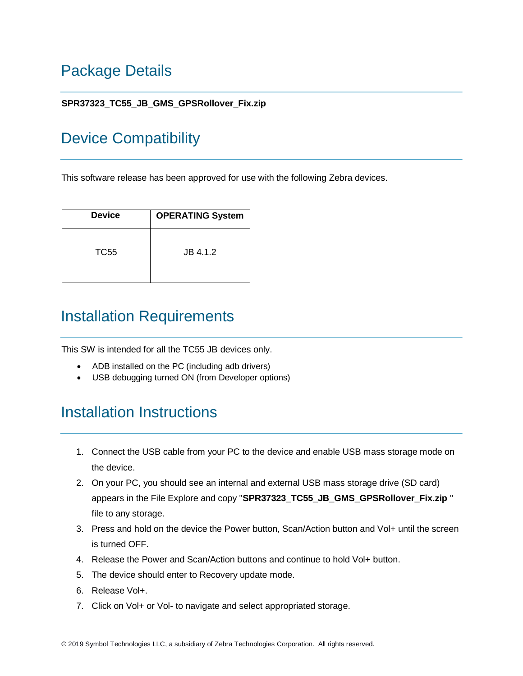## <span id="page-1-0"></span>Package Details

#### **SPR37323\_TC55\_JB\_GMS\_GPSRollover\_Fix.zip**

### <span id="page-1-1"></span>Device Compatibility

This software release has been approved for use with the following Zebra devices.

| <b>Device</b> | <b>OPERATING System</b> |
|---------------|-------------------------|
| TC55          | JB 4.1.2                |

### <span id="page-1-2"></span>Installation Requirements

This SW is intended for all the TC55 JB devices only.

- ADB installed on the PC (including adb drivers)
- USB debugging turned ON (from Developer options)

### <span id="page-1-3"></span>Installation Instructions

- 1. Connect the USB cable from your PC to the device and enable USB mass storage mode on the device.
- 2. On your PC, you should see an internal and external USB mass storage drive (SD card) appears in the File Explore and copy "**SPR37323\_TC55\_JB\_GMS\_GPSRollover\_Fix.zip** " file to any storage.
- 3. Press and hold on the device the Power button, Scan/Action button and Vol+ until the screen is turned OFF.
- 4. Release the Power and Scan/Action buttons and continue to hold Vol+ button.
- 5. The device should enter to Recovery update mode.
- 6. Release Vol+.
- 7. Click on Vol+ or Vol- to navigate and select appropriated storage.